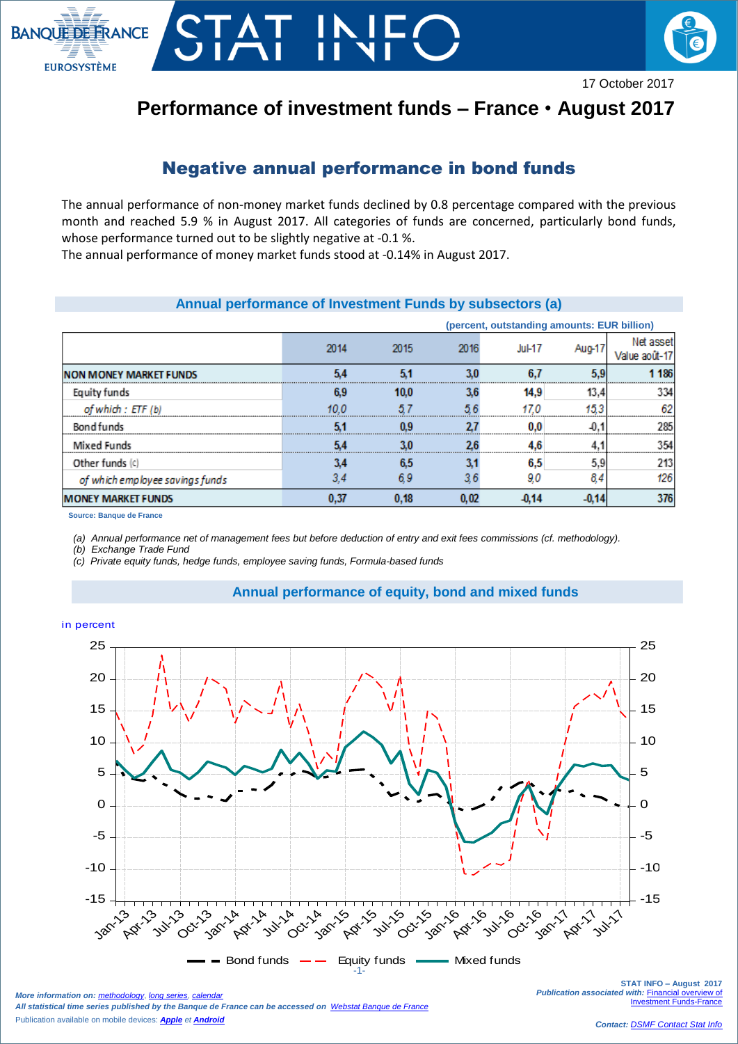

# **Performance of investment funds – France** • **August 2017**

## Negative annual performance in bond funds

The annual performance of non-money market funds declined by 0.8 percentage compared with the previous month and reached 5.9 % in August 2017. All categories of funds are concerned, particularly bond funds, whose performance turned out to be slightly negative at -0.1 %.

The annual performance of money market funds stood at -0.14% in August 2017.

## **Annual performance of Investment Funds by subsectors (a)**

|                                 | (percent, outstanding amounts: EUR billion) |      |      |           |        |                    |
|---------------------------------|---------------------------------------------|------|------|-----------|--------|--------------------|
|                                 | 2014                                        | 2015 | 2016 | $Ju$ l-17 | Aug-17 | Net asser<br>Jalue |
| <b>NON MONEY MARKET FUNDS</b>   |                                             |      |      |           |        | 186                |
| <b>Equity funds</b>             |                                             | 10.0 |      | 14.9      |        |                    |
| of which: ETF (b)               |                                             |      |      |           |        |                    |
| Bond funds                      |                                             |      |      |           |        | 92                 |
| <b>Mixed Funds</b>              |                                             |      |      |           |        |                    |
| Other funds (c)                 |                                             |      |      | 6.5       | 5.9    |                    |
| of which employee savings funds |                                             |      |      |           | 84     | 126                |
| <b>MONEY MARKET FUNDS</b>       |                                             | 0.18 | 0.02 |           |        | 376                |

**Source: Banque de France**

*(a) Annual performance net of management fees but before deduction of entry and exit fees commissions (cf. methodology).* 

*(b) Exchange Trade Fund* 

*(c) Private equity funds, hedge funds, employee saving funds, Formula-based funds*

## **Annual performance of equity, bond and mixed funds**



**STAT INFO – August 2017 Publication associated with: Financial overview of [Investment Funds-France](https://www.banque-france.fr/en/node/4206)** 

#### in percent

 $\overline{\phantom{a}}$ 

*More information on: [methodology](https://www.banque-france.fr/en/node/21464), [long series](http://webstat.banque-france.fr/en/browse.do?node=5384218), [calendar](https://www.banque-france.fr/en/statistics/calendar)ry All statistical time series published by the Banque de France can be accessed on [Webstat Banque de France](http://webstat.banque-france.fr/en/)* Publication available on mobile devices: *[Apple](https://itunes.apple.com/fr/app/banquefrance/id663817914?mt=8) et [Android](https://play.google.com/store/apps/details?id=fr.bdf.mobile&feature=search_result#?t=W251bGwsMSwyLDEsImZyLmJkZi5tb2JpbGUiXQ)*